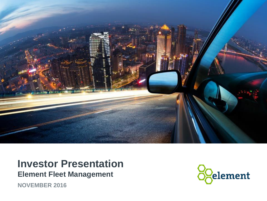

### **Investor Presentation Element Fleet Management**

**NOVEMBER 2016**

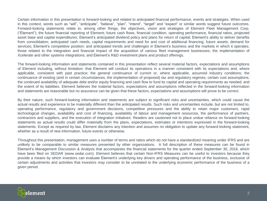Certain information in this presentation is forward-looking and related to anticipated financial performance, events and strategies. When used in this context, words such as "will", "anticipate", "believe", "plan", "intend", "target" and "expect" or similar words suggest future outcomes. Forward-looking statements relate to, among other things, the objectives, vision and strategies of Element Fleet Management Corp. ("Element"); the future financial reporting of Element; future cash flows, financial condition, operating performance, financial ratios, projected asset base and capital expenditures; Element's anticipated dividend policy and plans for return of capital; Element's ability to deliver benefits from consolidation; anticipated cash needs, capital requirements and need for and cost of additional financing; future assets; demand for services; Element's competitive position; and anticipated trends and challenges in Element's business and the markets in which it operates; those related to the integration and financial impact of the acquisition of various fleet management businesses; the implementation of Xcelerate and other systems integrations; and Element's R&D investment plans and product offerings.

The forward-looking information and statements contained in this presentation reflect several material factors, expectations and assumptions of Element including, without limitation: that Element will conduct its operations in a manner consistent with its expectations and, where applicable, consistent with past practice; the general continuance of current or, where applicable, assumed industry conditions; the continuance of existing (and in certain circumstances, the implementation of proposed) tax and regulatory regimes; certain cost assumptions; the continued availability of adequate debt and/or equity financing and cash flow to fund its capital and operating requirements as needed; and the extent of its liabilities. Element believes the material factors, expectations and assumptions reflected in the forward-looking information and statements are reasonable but no assurance can be given that these factors, expectations and assumptions will prove to be correct.

By their nature, such forward-looking information and statements are subject to significant risks and uncertainties, which could cause the actual results and experience to be materially different than the anticipated results. Such risks and uncertainties include, but are not limited to, operating performance, regulatory and government decisions, competitive pressures and the ability to retain major customers, rapid technological changes, availability and cost of financing, availability of labour and management resources, the performance of partners, contractors and suppliers, and the execution of integration initiatives. Readers are cautioned not to place undue reliance on forward-looking statements as actual results could differ materially from the plans, expectations, estimates or intentions expressed in the forward-looking statements. Except as required by law, Element disclaims any intention and assumes no obligation to update any forward-looking statement, whether as a result of new information, future events or otherwise.

Throughout this presentation, management uses a number of terms and ratios which do not have a standardized meaning under IFRS and are unlikely to be comparable to similar measures presented by other organizations. A full description of these measures can be found in Element's Management Discussion & Analysis that accompanies the financial statements for the quarter ended September 30, 2016, which have been filed on SEDAR (www.sedar.com). Element believes that certain Non-IFRS Measures can be useful to investors because they provide a means by which investors can evaluate Element's underlying key drivers and operating performance of the business, exclusive of certain adjustments and activities that investors may consider to be unrelated to the underlying economic performance of the business of a given period.

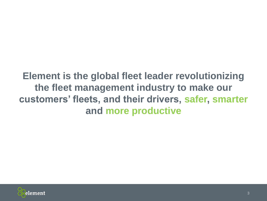## **Element is the global fleet leader revolutionizing the fleet management industry to make our customers' fleets, and their drivers, safer, smarter and more productive**

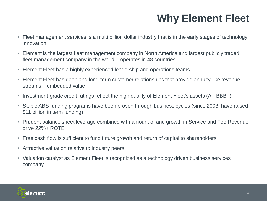# **Why Element Fleet**

- Fleet management services is a multi billion dollar industry that is in the early stages of technology innovation
- Element is the largest fleet management company in North America and largest publicly traded fleet management company in the world – operates in 48 countries
- Element Fleet has a highly experienced leadership and operations teams
- Element Fleet has deep and long-term customer relationships that provide annuity-like revenue streams – embedded value
- Investment-grade credit ratings reflect the high quality of Element Fleet's assets (A-, BBB+)
- Stable ABS funding programs have been proven through business cycles (since 2003, have raised \$11 billion in term funding)
- Prudent balance sheet leverage combined with amount of and growth in Service and Fee Revenue drive 22%+ ROTE
- Free cash flow is sufficient to fund future growth and return of capital to shareholders
- Attractive valuation relative to industry peers
- Valuation catalyst as Element Fleet is recognized as a technology driven business services company

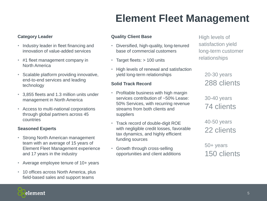### **Category Leader**

- Industry leader in fleet financing and innovation of value-added services
- #1 fleet management company in North America
- Scalable platform providing innovative, end-to-end services and leading technology
- 3,855 fleets and 1.3 million units under management in North America
- Access to multi-national corporations through global partners across 45 countries

#### **Seasoned Experts**

- Strong North American management team with an average of 15 years of Element Fleet Management experience and 17 years in the industry
- Average employee tenure of 10+ years
- 10 offices across North America, plus field-based sales and support teams

### **Quality Client Base**

- Diversified, high-quality, long-tenured base of commercial customers
- Target fleets: > 100 units
- High levels of renewal and satisfaction yield long-term relationships

#### **Solid Track Record**

- Profitable business with high margin services contribution of ~50% Lease: 50% Services, with recurring revenue streams from both clients and suppliers
- Track record of double-digit ROE with negligible credit losses, favorable tax dynamics, and highly efficient funding sources
- Growth through cross-selling opportunities and client additions

High levels of satisfaction yield long-term customer relationships

> 20-30 years 288 clients

30-40 years 74 clients

40-50 years 22 clients

50+ years 150 clients

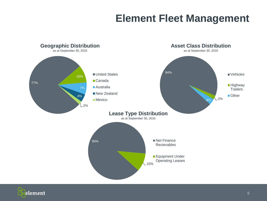

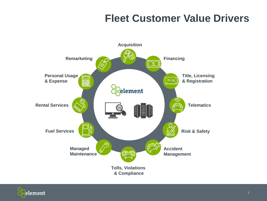## **Fleet Customer Value Drivers**



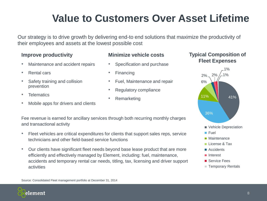# **Value to Customers Over Asset Lifetime**

Our strategy is to drive growth by delivering end-to end solutions that maximize the productivity of their employees and assets at the lowest possible cost

### **Improve productivity**

- Maintenance and accident repairs
- Rental cars
- Safety training and collision prevention
- **Telematics**
- Mobile apps for drivers and clients

### **Minimize vehicle costs**

- Specification and purchase
- Financing
- Fuel, Maintenance and repair
- Regulatory compliance
- **Remarketing**

#### Fee revenue is earned for ancillary services through both recurring monthly charges and transactional activity

- Fleet vehicles are critical expenditures for clients that support sales reps, service technicians and other field-based service functions
- Our clients have significant fleet needs beyond base lease product that are more efficiently and effectively managed by Element, including: fuel, maintenance, accidents and temporary rental car needs, titling, tax, licensing and driver support activities

### **Typical Composition of Fleet Expenses**



Source: Consolidated Fleet management portfolio at December 31, 2014

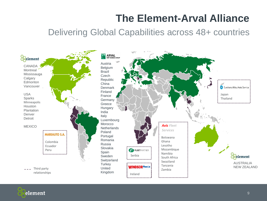# **The Element-Arval Alliance**

### Delivering Global Capabilities across 48+ countries



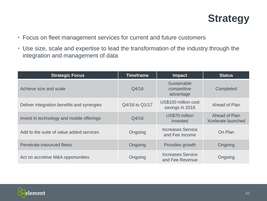## **Strategy**

- Focus on fleet management services for current and future customers
- Use size, scale and expertise to lead the transformation of the industry through the integration and management of data

| <b>Strategic Focus</b>                     | <b>Timeframe</b> | <b>Impact</b>                               | <b>Status</b>                              |
|--------------------------------------------|------------------|---------------------------------------------|--------------------------------------------|
| Achieve size and scale                     | Q4/16            | Sustainable<br>competitive<br>advantage     | Completed                                  |
| Deliver integration benefits and synergies | Q4/16 to Q1/17   | US\$100 million cost<br>savings in 2016     | Ahead of Plan                              |
| Invest in technology and mobile offerings  | Q4/16            | US\$70 million<br>invested                  | Ahead of Plan<br><b>Xcelerate launched</b> |
| Add to the suite of value added services   | Ongoing          | <b>Increases Service</b><br>and Fee Income  | On Plan                                    |
| Penetrate insourced fleets                 | Ongoing          | Provides growth                             | Ongoing                                    |
| Act on accretive M&A opportunities         | Ongoing          | <b>Increases Service</b><br>and Fee Revenue | Ongoing                                    |

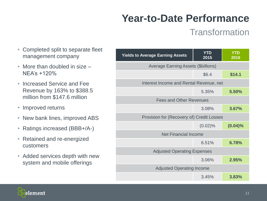# **Year-to-Date Performance**

## **Transformation**

- Completed split to separate fleet management company
- More than doubled in size NEA's +120%
- Increased Service and Fee Revenue by 163% to \$388.5 million from \$147.6 million
- Improved returns
- New bank lines, improved ABS
- Ratings increased (BBB+/A-)
- Retained and re-energized customers
- Added services depth with new system and mobile offerings

| <b>Yields to Average Earning Assets</b>    | <b>YTD</b><br>2015 | <b>YTD</b><br>2016 |  |
|--------------------------------------------|--------------------|--------------------|--|
| <b>Average Earning Assets (\$billions)</b> |                    |                    |  |
|                                            | \$6.4              | \$14.1             |  |
| Interest Income and Rental Revenue, net    |                    |                    |  |
|                                            | 5.35%              | 5.50%              |  |
| <b>Fees and Other Revenues</b>             |                    |                    |  |
|                                            | 3.08%              | 3.67%              |  |
| Provision for (Recovery of) Credit Losses  |                    |                    |  |
|                                            | $(0.02)\%$         | (0.04)%            |  |
| <b>Net Financial Income</b>                |                    |                    |  |
|                                            | 6.51%              | 6.78%              |  |
| <b>Adjusted Operating Expenses</b>         |                    |                    |  |
|                                            | 3.06%              | 2.95%              |  |
| <b>Adjusted Operating Income</b>           |                    |                    |  |
|                                            | 3.45%              | 3.83%              |  |

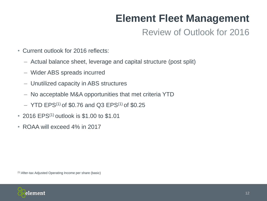## Review of Outlook for 2016

- Current outlook for 2016 reflects:
	- ‒ Actual balance sheet, leverage and capital structure (post split)
	- ‒ Wider ABS spreads incurred
	- ‒ Unutilized capacity in ABS structures
	- ‒ No acceptable M&A opportunities that met criteria YTD
	- $-$  YTD EPS<sup>(1)</sup> of \$0.76 and Q3 EPS<sup>(1)</sup> of \$0.25
- 2016 EPS<sup>(1)</sup> outlook is \$1,00 to \$1,01
- ROAA will exceed 4% in 2017

(1) After-tax Adjusted Operating Income per share (basic)

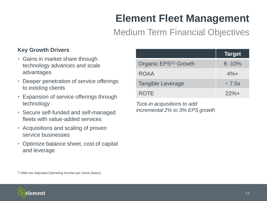### Medium Term Financial Objectives

### **Key Growth Drivers**

- Gains in market share through technology advances and scale advantages
- Deeper penetration of service offerings to existing clients
- Expansion of service offerings through technology
- Secure self-funded and self-managed fleets with value-added services
- Acquisitions and scaling of proven service businesses
- Optimize balance sheet, cost of capital and leverage

|                                   | <b>Target</b> |
|-----------------------------------|---------------|
| Organic EPS <sup>(1)</sup> Growth | $8 - 10\%$    |
| <b>ROAA</b>                       | $4%+$         |
| <b>Tangible Leverage</b>          | $\sim$ 7.5x   |
| <b>ROTE</b>                       | $22%+$        |

*Tuck-in acquisitions to add incremental 2% to 3% EPS growth*

(1) After-tax Adjusted Operating Income per share (basic)

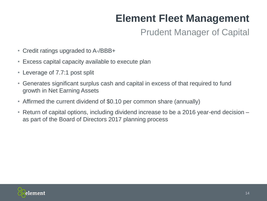## Prudent Manager of Capital

- Credit ratings upgraded to A-/BBB+
- Excess capital capacity available to execute plan
- Leverage of 7.7:1 post split
- Generates significant surplus cash and capital in excess of that required to fund growth in Net Earning Assets
- Affirmed the current dividend of \$0.10 per common share (annually)
- Return of capital options, including dividend increase to be a 2016 year-end decision as part of the Board of Directors 2017 planning process